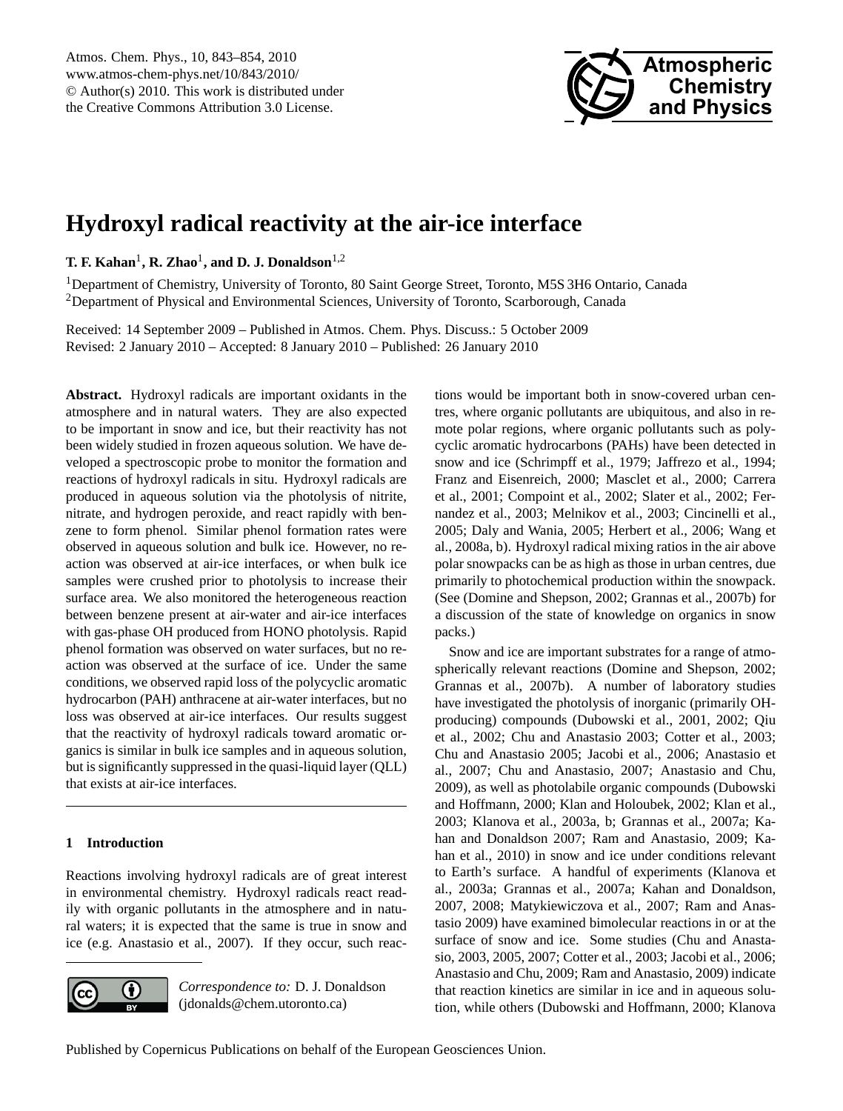

# <span id="page-0-0"></span>**Hydroxyl radical reactivity at the air-ice interface**

T. F. Kahan<sup>1</sup>, R. Zhao<sup>1</sup>, and D. J. Donaldson<sup>1,2</sup>

<sup>1</sup>Department of Chemistry, University of Toronto, 80 Saint George Street, Toronto, M5S 3H6 Ontario, Canada <sup>2</sup>Department of Physical and Environmental Sciences, University of Toronto, Scarborough, Canada

Received: 14 September 2009 – Published in Atmos. Chem. Phys. Discuss.: 5 October 2009 Revised: 2 January 2010 – Accepted: 8 January 2010 – Published: 26 January 2010

**Abstract.** Hydroxyl radicals are important oxidants in the atmosphere and in natural waters. They are also expected to be important in snow and ice, but their reactivity has not been widely studied in frozen aqueous solution. We have developed a spectroscopic probe to monitor the formation and reactions of hydroxyl radicals in situ. Hydroxyl radicals are produced in aqueous solution via the photolysis of nitrite, nitrate, and hydrogen peroxide, and react rapidly with benzene to form phenol. Similar phenol formation rates were observed in aqueous solution and bulk ice. However, no reaction was observed at air-ice interfaces, or when bulk ice samples were crushed prior to photolysis to increase their surface area. We also monitored the heterogeneous reaction between benzene present at air-water and air-ice interfaces with gas-phase OH produced from HONO photolysis. Rapid phenol formation was observed on water surfaces, but no reaction was observed at the surface of ice. Under the same conditions, we observed rapid loss of the polycyclic aromatic hydrocarbon (PAH) anthracene at air-water interfaces, but no loss was observed at air-ice interfaces. Our results suggest that the reactivity of hydroxyl radicals toward aromatic organics is similar in bulk ice samples and in aqueous solution, but is significantly suppressed in the quasi-liquid layer (QLL) that exists at air-ice interfaces.

# **1 Introduction**

Reactions involving hydroxyl radicals are of great interest in environmental chemistry. Hydroxyl radicals react readily with organic pollutants in the atmosphere and in natural waters; it is expected that the same is true in snow and ice (e.g. Anastasio et al., 2007). If they occur, such reac-



*Correspondence to:* D. J. Donaldson (jdonalds@chem.utoronto.ca)

tions would be important both in snow-covered urban centres, where organic pollutants are ubiquitous, and also in remote polar regions, where organic pollutants such as polycyclic aromatic hydrocarbons (PAHs) have been detected in snow and ice (Schrimpff et al., 1979; Jaffrezo et al., 1994; Franz and Eisenreich, 2000; Masclet et al., 2000; Carrera et al., 2001; Compoint et al., 2002; Slater et al., 2002; Fernandez et al., 2003; Melnikov et al., 2003; Cincinelli et al., 2005; Daly and Wania, 2005; Herbert et al., 2006; Wang et al., 2008a, b). Hydroxyl radical mixing ratios in the air above polar snowpacks can be as high as those in urban centres, due primarily to photochemical production within the snowpack. (See (Domine and Shepson, 2002; Grannas et al., 2007b) for a discussion of the state of knowledge on organics in snow packs.)

Snow and ice are important substrates for a range of atmospherically relevant reactions (Domine and Shepson, 2002; Grannas et al., 2007b). A number of laboratory studies have investigated the photolysis of inorganic (primarily OHproducing) compounds (Dubowski et al., 2001, 2002; Qiu et al., 2002; Chu and Anastasio 2003; Cotter et al., 2003; Chu and Anastasio 2005; Jacobi et al., 2006; Anastasio et al., 2007; Chu and Anastasio, 2007; Anastasio and Chu, 2009), as well as photolabile organic compounds (Dubowski and Hoffmann, 2000; Klan and Holoubek, 2002; Klan et al., 2003; Klanova et al., 2003a, b; Grannas et al., 2007a; Kahan and Donaldson 2007; Ram and Anastasio, 2009; Kahan et al., 2010) in snow and ice under conditions relevant to Earth's surface. A handful of experiments (Klanova et al., 2003a; Grannas et al., 2007a; Kahan and Donaldson, 2007, 2008; Matykiewiczova et al., 2007; Ram and Anastasio 2009) have examined bimolecular reactions in or at the surface of snow and ice. Some studies (Chu and Anastasio, 2003, 2005, 2007; Cotter et al., 2003; Jacobi et al., 2006; Anastasio and Chu, 2009; Ram and Anastasio, 2009) indicate that reaction kinetics are similar in ice and in aqueous solution, while others (Dubowski and Hoffmann, 2000; Klanova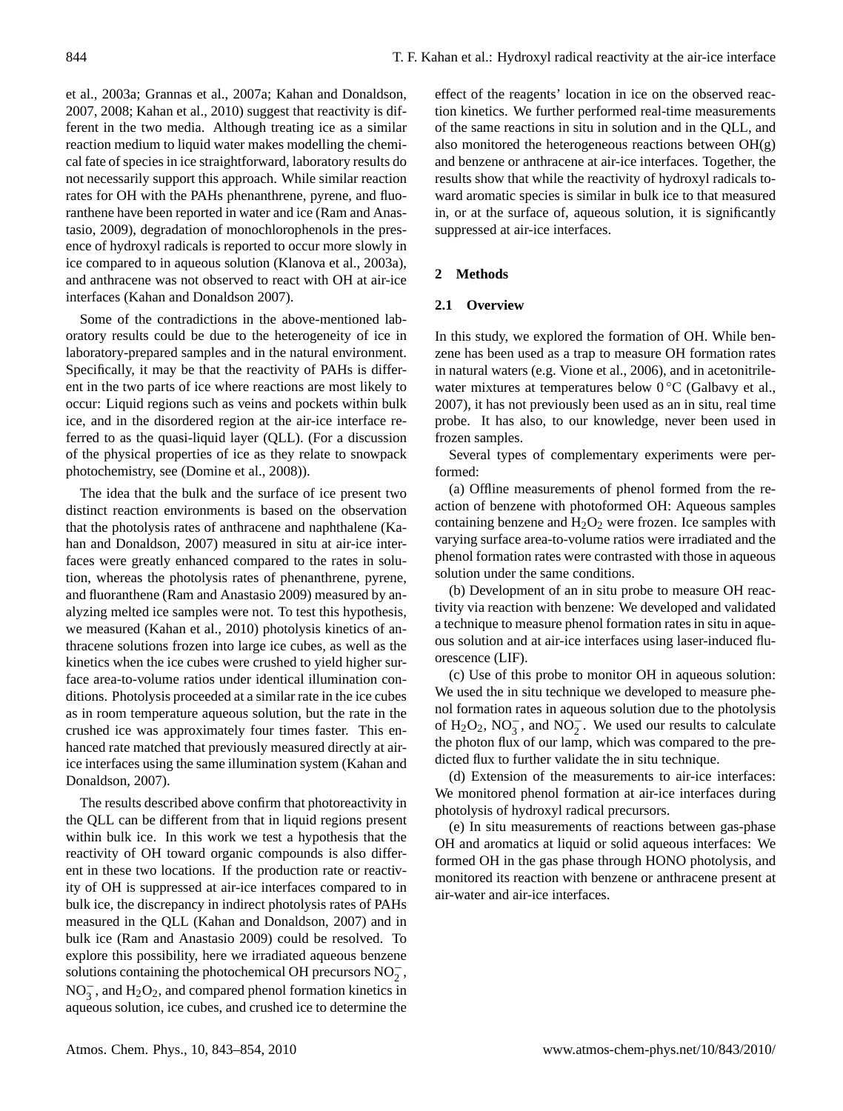et al., 2003a; Grannas et al., 2007a; Kahan and Donaldson, 2007, 2008; Kahan et al., 2010) suggest that reactivity is different in the two media. Although treating ice as a similar reaction medium to liquid water makes modelling the chemical fate of species in ice straightforward, laboratory results do not necessarily support this approach. While similar reaction rates for OH with the PAHs phenanthrene, pyrene, and fluoranthene have been reported in water and ice (Ram and Anastasio, 2009), degradation of monochlorophenols in the presence of hydroxyl radicals is reported to occur more slowly in ice compared to in aqueous solution (Klanova et al., 2003a), and anthracene was not observed to react with OH at air-ice interfaces (Kahan and Donaldson 2007).

Some of the contradictions in the above-mentioned laboratory results could be due to the heterogeneity of ice in laboratory-prepared samples and in the natural environment. Specifically, it may be that the reactivity of PAHs is different in the two parts of ice where reactions are most likely to occur: Liquid regions such as veins and pockets within bulk ice, and in the disordered region at the air-ice interface referred to as the quasi-liquid layer (QLL). (For a discussion of the physical properties of ice as they relate to snowpack photochemistry, see (Domine et al., 2008)).

The idea that the bulk and the surface of ice present two distinct reaction environments is based on the observation that the photolysis rates of anthracene and naphthalene (Kahan and Donaldson, 2007) measured in situ at air-ice interfaces were greatly enhanced compared to the rates in solution, whereas the photolysis rates of phenanthrene, pyrene, and fluoranthene (Ram and Anastasio 2009) measured by analyzing melted ice samples were not. To test this hypothesis, we measured (Kahan et al., 2010) photolysis kinetics of anthracene solutions frozen into large ice cubes, as well as the kinetics when the ice cubes were crushed to yield higher surface area-to-volume ratios under identical illumination conditions. Photolysis proceeded at a similar rate in the ice cubes as in room temperature aqueous solution, but the rate in the crushed ice was approximately four times faster. This enhanced rate matched that previously measured directly at airice interfaces using the same illumination system (Kahan and Donaldson, 2007).

The results described above confirm that photoreactivity in the QLL can be different from that in liquid regions present within bulk ice. In this work we test a hypothesis that the reactivity of OH toward organic compounds is also different in these two locations. If the production rate or reactivity of OH is suppressed at air-ice interfaces compared to in bulk ice, the discrepancy in indirect photolysis rates of PAHs measured in the QLL (Kahan and Donaldson, 2007) and in bulk ice (Ram and Anastasio 2009) could be resolved. To explore this possibility, here we irradiated aqueous benzene solutions containing the photochemical OH precursors  $NO_2^-$ ,  $NO_3^-$ , and  $H_2O_2$ , and compared phenol formation kinetics in aqueous solution, ice cubes, and crushed ice to determine the effect of the reagents' location in ice on the observed reaction kinetics. We further performed real-time measurements of the same reactions in situ in solution and in the QLL, and also monitored the heterogeneous reactions between OH(g) and benzene or anthracene at air-ice interfaces. Together, the results show that while the reactivity of hydroxyl radicals toward aromatic species is similar in bulk ice to that measured in, or at the surface of, aqueous solution, it is significantly suppressed at air-ice interfaces.

## **2 Methods**

## **2.1 Overview**

In this study, we explored the formation of OH. While benzene has been used as a trap to measure OH formation rates in natural waters (e.g. Vione et al., 2006), and in acetonitrilewater mixtures at temperatures below 0 ◦C (Galbavy et al., 2007), it has not previously been used as an in situ, real time probe. It has also, to our knowledge, never been used in frozen samples.

Several types of complementary experiments were performed:

(a) Offline measurements of phenol formed from the reaction of benzene with photoformed OH: Aqueous samples containing benzene and  $H_2O_2$  were frozen. Ice samples with varying surface area-to-volume ratios were irradiated and the phenol formation rates were contrasted with those in aqueous solution under the same conditions.

(b) Development of an in situ probe to measure OH reactivity via reaction with benzene: We developed and validated a technique to measure phenol formation rates in situ in aqueous solution and at air-ice interfaces using laser-induced fluorescence (LIF).

(c) Use of this probe to monitor OH in aqueous solution: We used the in situ technique we developed to measure phenol formation rates in aqueous solution due to the photolysis of  $H_2O_2$ ,  $NO_3^-$ , and  $NO_2^-$ . We used our results to calculate the photon flux of our lamp, which was compared to the predicted flux to further validate the in situ technique.

(d) Extension of the measurements to air-ice interfaces: We monitored phenol formation at air-ice interfaces during photolysis of hydroxyl radical precursors.

(e) In situ measurements of reactions between gas-phase OH and aromatics at liquid or solid aqueous interfaces: We formed OH in the gas phase through HONO photolysis, and monitored its reaction with benzene or anthracene present at air-water and air-ice interfaces.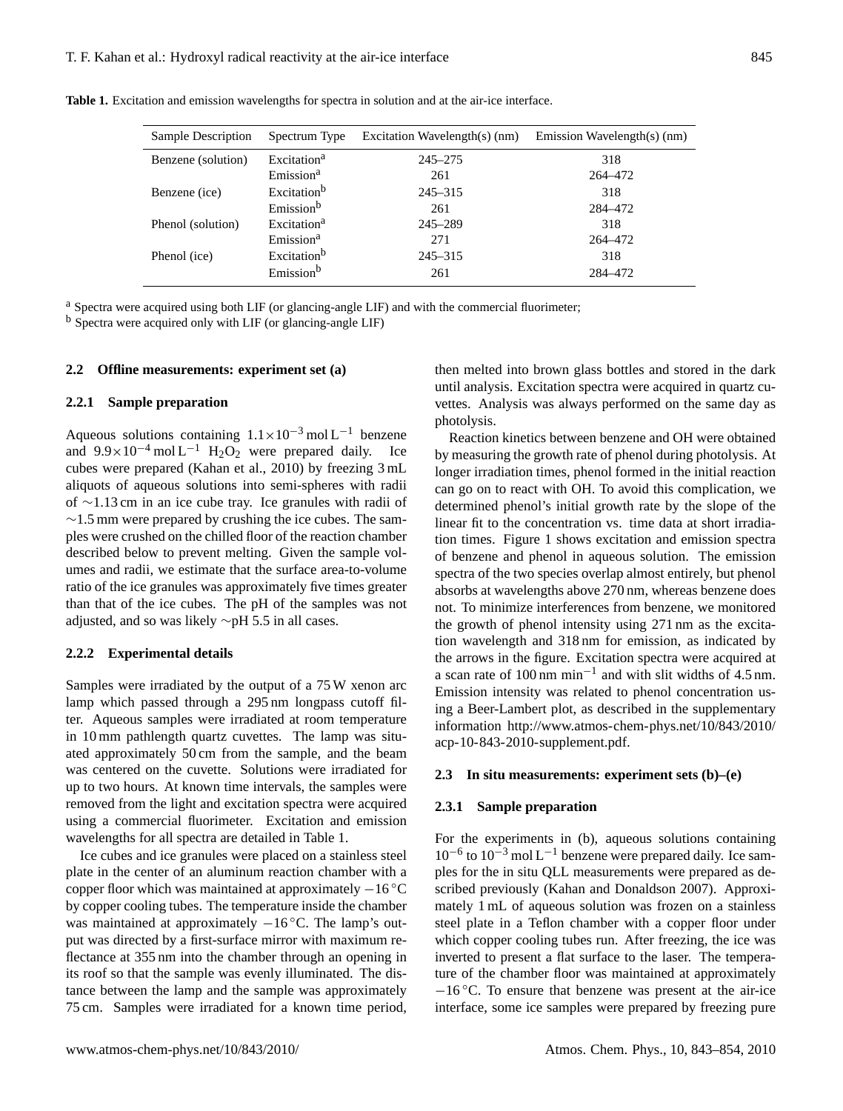| Sample Description | Spectrum Type           | Excitation Wavelength(s) (nm) | Emission Wavelength(s) (nm) |
|--------------------|-------------------------|-------------------------------|-----------------------------|
| Benzene (solution) | Excitation <sup>a</sup> | $245 - 275$                   | 318                         |
|                    | Emission <sup>a</sup>   | 261                           | 264-472                     |
| Benzene (ice)      | Excitation <sup>b</sup> | $245 - 315$                   | 318                         |
|                    | Emission <sup>b</sup>   | 261                           | 284-472                     |
| Phenol (solution)  | Excitation <sup>a</sup> | $245 - 289$                   | 318                         |
|                    | Emission <sup>a</sup>   | 271                           | 264-472                     |
| Phenol (ice)       | Excitation <sup>b</sup> | $245 - 315$                   | 318                         |
|                    | Emission <sup>b</sup>   | 261                           | 284-472                     |
|                    |                         |                               |                             |

**Table 1.** Excitation and emission wavelengths for spectra in solution and at the air-ice interface.

<sup>a</sup> Spectra were acquired using both LIF (or glancing-angle LIF) and with the commercial fluorimeter;

<sup>b</sup> Spectra were acquired only with LIF (or glancing-angle LIF)

### **2.2 Offline measurements: experiment set (a)**

#### **2.2.1 Sample preparation**

Aqueous solutions containing  $1.1 \times 10^{-3}$  mol L<sup>-1</sup> benzene and  $9.9 \times 10^{-4}$  mol L<sup>-1</sup> H<sub>2</sub>O<sub>2</sub> were prepared daily. Ice cubes were prepared (Kahan et al., 2010) by freezing 3 mL aliquots of aqueous solutions into semi-spheres with radii of ∼1.13 cm in an ice cube tray. Ice granules with radii of  $∼1.5$  mm were prepared by crushing the ice cubes. The samples were crushed on the chilled floor of the reaction chamber described below to prevent melting. Given the sample volumes and radii, we estimate that the surface area-to-volume ratio of the ice granules was approximately five times greater than that of the ice cubes. The pH of the samples was not adjusted, and so was likely ∼pH 5.5 in all cases.

#### **2.2.2 Experimental details**

Samples were irradiated by the output of a 75 W xenon arc lamp which passed through a 295 nm longpass cutoff filter. Aqueous samples were irradiated at room temperature in 10 mm pathlength quartz cuvettes. The lamp was situated approximately 50 cm from the sample, and the beam was centered on the cuvette. Solutions were irradiated for up to two hours. At known time intervals, the samples were removed from the light and excitation spectra were acquired using a commercial fluorimeter. Excitation and emission wavelengths for all spectra are detailed in Table 1.

Ice cubes and ice granules were placed on a stainless steel plate in the center of an aluminum reaction chamber with a copper floor which was maintained at approximately −16 ◦C by copper cooling tubes. The temperature inside the chamber was maintained at approximately  $-16$  °C. The lamp's output was directed by a first-surface mirror with maximum reflectance at 355 nm into the chamber through an opening in its roof so that the sample was evenly illuminated. The distance between the lamp and the sample was approximately 75 cm. Samples were irradiated for a known time period, then melted into brown glass bottles and stored in the dark until analysis. Excitation spectra were acquired in quartz cuvettes. Analysis was always performed on the same day as photolysis.

Reaction kinetics between benzene and OH were obtained by measuring the growth rate of phenol during photolysis. At longer irradiation times, phenol formed in the initial reaction can go on to react with OH. To avoid this complication, we determined phenol's initial growth rate by the slope of the linear fit to the concentration vs. time data at short irradiation times. Figure 1 shows excitation and emission spectra of benzene and phenol in aqueous solution. The emission spectra of the two species overlap almost entirely, but phenol absorbs at wavelengths above 270 nm, whereas benzene does not. To minimize interferences from benzene, we monitored the growth of phenol intensity using 271 nm as the excitation wavelength and 318 nm for emission, as indicated by the arrows in the figure. Excitation spectra were acquired at a scan rate of 100 nm min−<sup>1</sup> and with slit widths of 4.5 nm. Emission intensity was related to phenol concentration using a Beer-Lambert plot, as described in the supplementary information [http://www.atmos-chem-phys.net/10/843/2010/](http://www.atmos-chem-phys.net/10/843/2010/acp-10-843-2010-supplement.pdf) [acp-10-843-2010-supplement.pdf.](http://www.atmos-chem-phys.net/10/843/2010/acp-10-843-2010-supplement.pdf)

#### **2.3 In situ measurements: experiment sets (b)–(e)**

#### **2.3.1 Sample preparation**

For the experiments in (b), aqueous solutions containing 10−<sup>6</sup> to 10−<sup>3</sup> mol L−<sup>1</sup> benzene were prepared daily. Ice samples for the in situ QLL measurements were prepared as described previously (Kahan and Donaldson 2007). Approximately 1 mL of aqueous solution was frozen on a stainless steel plate in a Teflon chamber with a copper floor under which copper cooling tubes run. After freezing, the ice was inverted to present a flat surface to the laser. The temperature of the chamber floor was maintained at approximately −16 ◦C. To ensure that benzene was present at the air-ice interface, some ice samples were prepared by freezing pure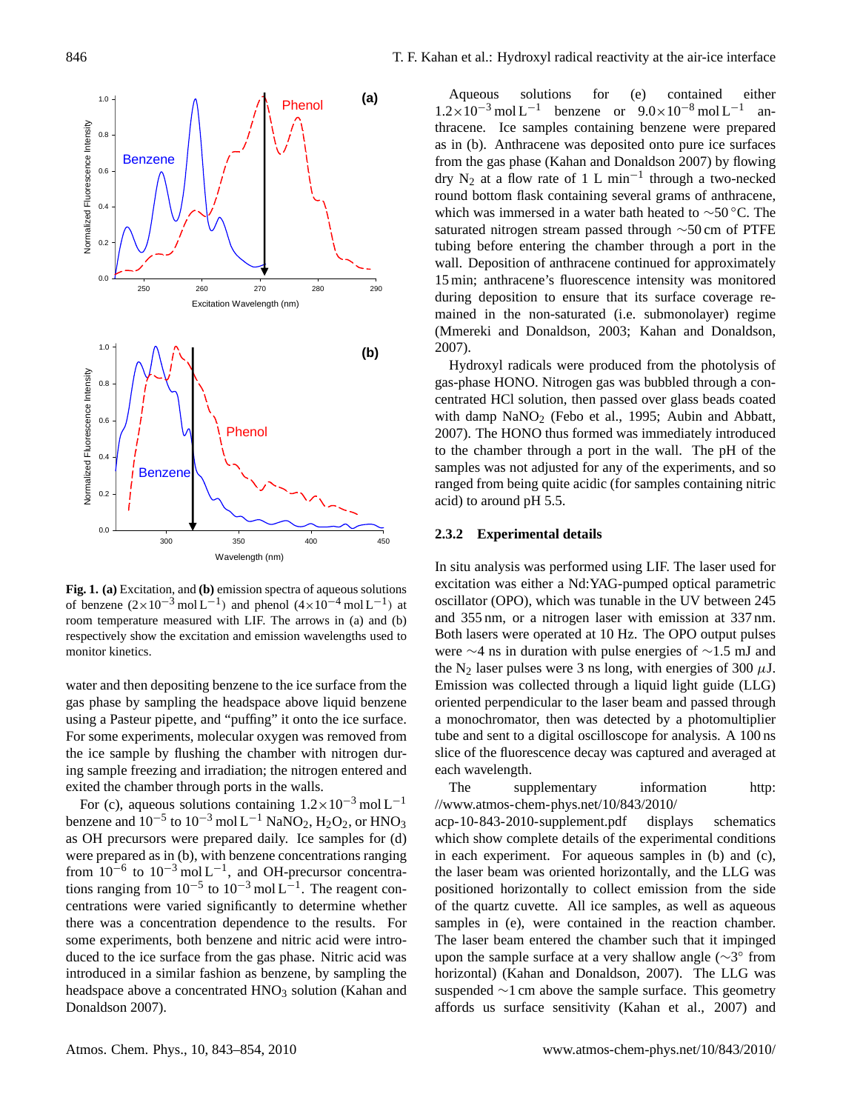

**Fig. 1. (a)** Excitation, and **(b)** emission spectra of aqueous solutions of benzene  $(2 \times 10^{-3} \text{ mol L}^{-1})$  and phenol  $(4 \times 10^{-4} \text{ mol L}^{-1})$  at room temperature measured with LIF. The arrows in (a) and (b) respectively show the excitation and emission wavelengths used to monitor kinetics.

using a Pasteur pipette, and "puffing" it onto the ice surface.<br>For some experiments molecular oxygen was removed from water and then depositing benzene to the ice surface from the gas phase by sampling the headspace above liquid benzene For some experiments, molecular oxygen was removed from the ice sample by flushing the chamber with nitrogen during sample freezing and irradiation; the nitrogen entered and exited the chamber through ports in the walls.

For (c), aqueous solutions containing  $1.2 \times 10^{-3}$  mol L<sup>-1</sup> benzene and  $10^{-5}$  to  $10^{-3}$  mol L<sup>-1</sup> NaNO<sub>2</sub>, H<sub>2</sub>O<sub>2</sub>, or HNO<sub>3</sub> as OH precursors were prepared daily. Ice samples for (d) were prepared as in (b), with benzene concentrations ranging from  $10^{-6}$  to  $10^{-3}$  mol L<sup>-1</sup>, and OH-precursor concentrations ranging from  $10^{-5}$  to  $10^{-3}$  mol L<sup>-1</sup>. The reagent concentrations were varied significantly to determine whether there was a concentration dependence to the results. For some experiments, both benzene and nitric acid were introduced to the ice surface from the gas phase. Nitric acid was introduced in a similar fashion as benzene, by sampling the headspace above a concentrated  $HNO<sub>3</sub>$  solution (Kahan and Donaldson 2007).

Aqueous solutions for (e) contained either  $1.2 \times 10^{-3}$  mol L<sup>-1</sup> benzene or  $9.0 \times 10^{-8}$  mol L<sup>-1</sup> anthracene. Ice samples containing benzene were prepared as in (b). Anthracene was deposited onto pure ice surfaces from the gas phase (Kahan and Donaldson 2007) by flowing dry N<sub>2</sub> at a flow rate of 1 L min<sup>-1</sup> through a two-necked round bottom flask containing several grams of anthracene, which was immersed in a water bath heated to ∼50 ◦C. The saturated nitrogen stream passed through ∼50 cm of PTFE tubing before entering the chamber through a port in the wall. Deposition of anthracene continued for approximately 15 min; anthracene's fluorescence intensity was monitored during deposition to ensure that its surface coverage remained in the non-saturated (i.e. submonolayer) regime (Mmereki and Donaldson, 2003; Kahan and Donaldson, 2007).

Hydroxyl radicals were produced from the photolysis of gas-phase HONO. Nitrogen gas was bubbled through a concentrated HCl solution, then passed over glass beads coated with damp  $\text{NaNO}_2$  (Febo et al., 1995; Aubin and Abbatt, 2007). The HONO thus formed was immediately introduced to the chamber through a port in the wall. The pH of the samples was not adjusted for any of the experiments, and so ranged from being quite acidic (for samples containing nitric acid) to around pH 5.5.

## **2.3.2 Experimental details**

In situ analysis was performed using LIF. The laser used for excitation was either a Nd:YAG-pumped optical parametric oscillator (OPO), which was tunable in the UV between 245 and 355 nm, or a nitrogen laser with emission at 337 nm. Both lasers were operated at 10 Hz. The OPO output pulses were ∼4 ns in duration with pulse energies of ∼1.5 mJ and the N<sub>2</sub> laser pulses were 3 ns long, with energies of 300  $\mu$ J. Emission was collected through a liquid light guide (LLG) oriented perpendicular to the laser beam and passed through a monochromator, then was detected by a photomultiplier tube and sent to a digital oscilloscope for analysis. A 100 ns slice of the fluorescence decay was captured and averaged at each wavelength.

The supplementary information [http:](http://www.atmos-chem-phys.net/10/843/2010/acp-10-843-2010-supplement.pdf) [//www.atmos-chem-phys.net/10/843/2010/](http://www.atmos-chem-phys.net/10/843/2010/acp-10-843-2010-supplement.pdf)

[acp-10-843-2010-supplement.pdf](http://www.atmos-chem-phys.net/10/843/2010/acp-10-843-2010-supplement.pdf) displays schematics which show complete details of the experimental conditions in each experiment. For aqueous samples in (b) and (c), the laser beam was oriented horizontally, and the LLG was positioned horizontally to collect emission from the side of the quartz cuvette. All ice samples, as well as aqueous samples in (e), were contained in the reaction chamber. The laser beam entered the chamber such that it impinged upon the sample surface at a very shallow angle (~3<sup>°</sup> from horizontal) (Kahan and Donaldson, 2007). The LLG was suspended ∼1 cm above the sample surface. This geometry affords us surface sensitivity (Kahan et al., 2007) and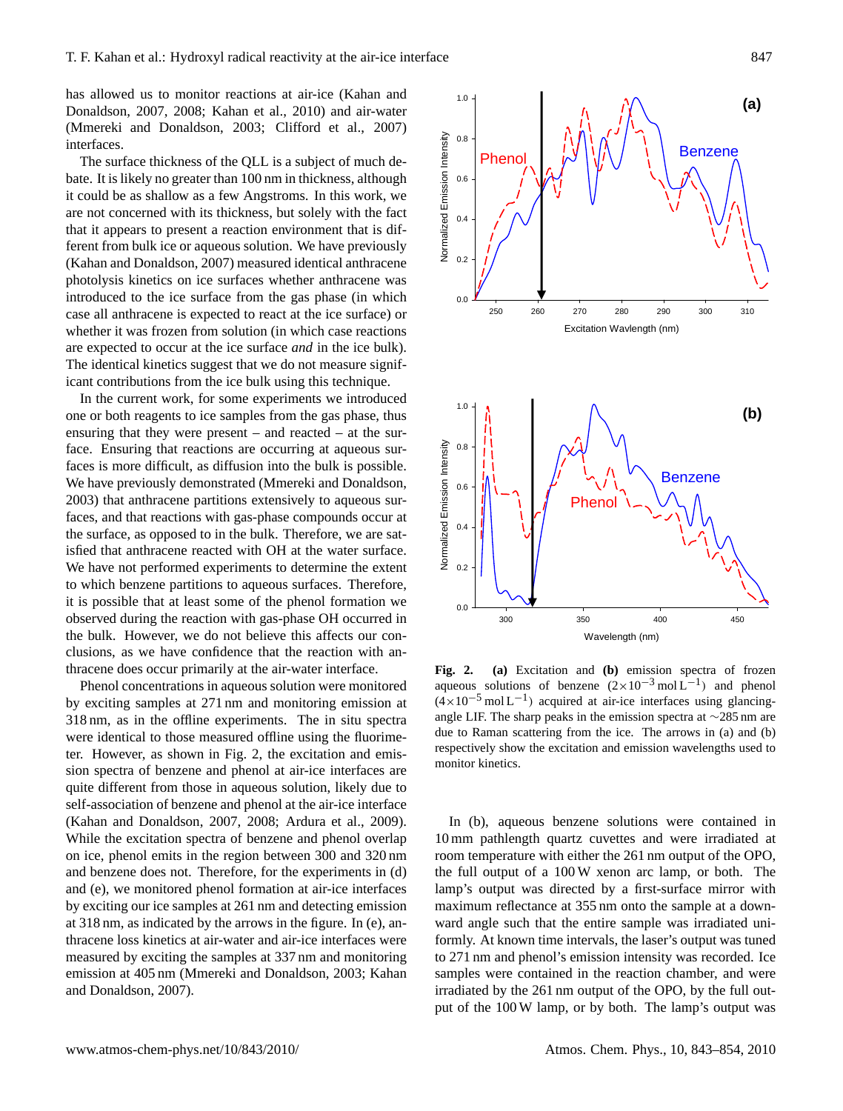has allowed us to monitor reactions at air-ice (Kahan and Donaldson, 2007, 2008; Kahan et al., 2010) and air-water (Mmereki and Donaldson, 2003; Clifford et al., 2007) interfaces.

The surface thickness of the QLL is a subject of much debate. It is likely no greater than 100 nm in thickness, although it could be as shallow as a few Angstroms. In this work, we are not concerned with its thickness, but solely with the fact that it appears to present a reaction environment that is different from bulk ice or aqueous solution. We have previously (Kahan and Donaldson, 2007) measured identical anthracene photolysis kinetics on ice surfaces whether anthracene was introduced to the ice surface from the gas phase (in which case all anthracene is expected to react at the ice surface) or whether it was frozen from solution (in which case reactions are expected to occur at the ice surface *and* in the ice bulk). The identical kinetics suggest that we do not measure significant contributions from the ice bulk using this technique.

In the current work, for some experiments we introduced one or both reagents to ice samples from the gas phase, thus ensuring that they were present – and reacted – at the surface. Ensuring that reactions are occurring at aqueous surfaces is more difficult, as diffusion into the bulk is possible. We have previously demonstrated (Mmereki and Donaldson, 2003) that anthracene partitions extensively to aqueous surfaces, and that reactions with gas-phase compounds occur at the surface, as opposed to in the bulk. Therefore, we are satisfied that anthracene reacted with OH at the water surface. We have not performed experiments to determine the extent to which benzene partitions to aqueous surfaces. Therefore, it is possible that at least some of the phenol formation we observed during the reaction with gas-phase OH occurred in the bulk. However, we do not believe this affects our conclusions, as we have confidence that the reaction with anthracene does occur primarily at the air-water interface.

Phenol concentrations in aqueous solution were monitored by exciting samples at 271 nm and monitoring emission at 318 nm, as in the offline experiments. The in situ spectra were identical to those measured offline using the fluorimeter. However, as shown in Fig. 2, the excitation and emission spectra of benzene and phenol at air-ice interfaces are quite different from those in aqueous solution, likely due to self-association of benzene and phenol at the air-ice interface (Kahan and Donaldson, 2007, 2008; Ardura et al., 2009). While the excitation spectra of benzene and phenol overlap on ice, phenol emits in the region between 300 and 320 nm and benzene does not. Therefore, for the experiments in (d) and (e), we monitored phenol formation at air-ice interfaces by exciting our ice samples at 261 nm and detecting emission at 318 nm, as indicated by the arrows in the figure. In (e), anthracene loss kinetics at air-water and air-ice interfaces were measured by exciting the samples at 337 nm and monitoring emission at 405 nm (Mmereki and Donaldson, 2003; Kahan and Donaldson, 2007).



**Fig. 2. (a)** Excitation and **(b)** emission spectra of frozen aqueous solutions of benzene  $(2 \times 10^{-3} \text{ mol} L^{-1})$  and phenol  $(4 \times 10^{-5} \text{ mol L}^{-1})$  acquired at air-ice interfaces using glancingangle LIF. The sharp peaks in the emission spectra at ∼285 nm are due to Raman scattering from the ice. The arrows in (a) and (b) respectively show the excitation and emission wavelengths used to monitor kinetics.

In (b), aqueous benzene solutions were contained in 10 mm pathlength quartz cuvettes and were irradiated at room temperature with either the 261 nm output of the OPO, the full output of a 100 W xenon arc lamp, or both. The lamp's output was directed by a first-surface mirror with maximum reflectance at 355 nm onto the sample at a downward angle such that the entire sample was irradiated uniformly. At known time intervals, the laser's output was tuned to 271 nm and phenol's emission intensity was recorded. Ice samples were contained in the reaction chamber, and were irradiated by the 261 nm output of the OPO, by the full output of the 100 W lamp, or by both. The lamp's output was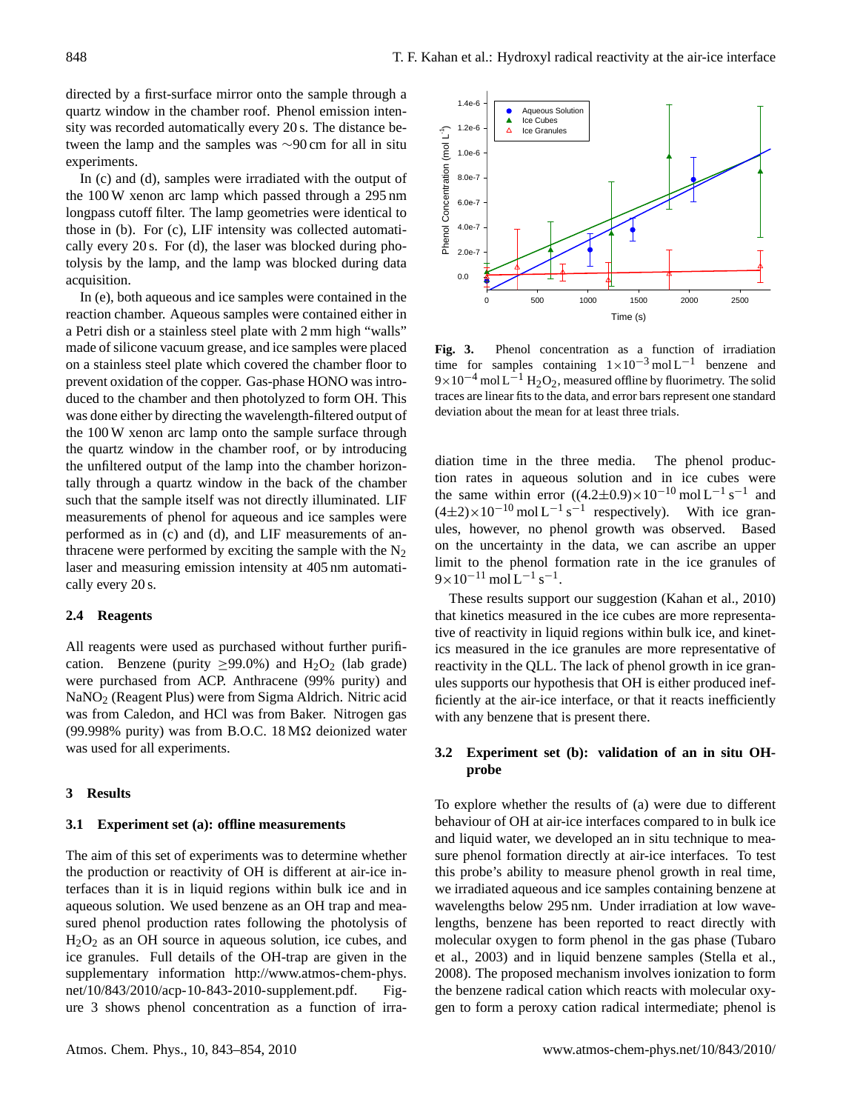directed by a first-surface mirror onto the sample through a quartz window in the chamber roof. Phenol emission intensity was recorded automatically every 20 s. The distance between the lamp and the samples was ∼90 cm for all in situ experiments.

In (c) and (d), samples were irradiated with the output of the 100 W xenon arc lamp which passed through a 295 nm longpass cutoff filter. The lamp geometries were identical to those in (b). For (c), LIF intensity was collected automatically every 20 s. For (d), the laser was blocked during photolysis by the lamp, and the lamp was blocked during data acquisition.

In (e), both aqueous and ice samples were contained in the reaction chamber. Aqueous samples were contained either in a Petri dish or a stainless steel plate with 2 mm high "walls" made of silicone vacuum grease, and ice samples were placed on a stainless steel plate which covered the chamber floor to prevent oxidation of the copper. Gas-phase HONO was introduced to the chamber and then photolyzed to form OH. This was done either by directing the wavelength-filtered output of the 100 W xenon arc lamp onto the sample surface through the quartz window in the chamber roof, or by introducing the unfiltered output of the lamp into the chamber horizontally through a quartz window in the back of the chamber such that the sample itself was not directly illuminated. LIF measurements of phenol for aqueous and ice samples were performed as in (c) and (d), and LIF measurements of anthracene were performed by exciting the sample with the  $N_2$ laser and measuring emission intensity at 405 nm automatically every 20 s.

## **2.4 Reagents**

All reagents were used as purchased without further purification. Benzene (purity  $\geq$ 99.0%) and H<sub>2</sub>O<sub>2</sub> (lab grade) were purchased from ACP. Anthracene (99% purity) and NaNO<sup>2</sup> (Reagent Plus) were from Sigma Aldrich. Nitric acid was from Caledon, and HCl was from Baker. Nitrogen gas (99.998% purity) was from B.O.C.  $18 \text{ M}\Omega$  deionized water was used for all experiments.

### **3 Results**

#### **3.1 Experiment set (a): offline measurements**

The aim of this set of experiments was to determine whether the production or reactivity of OH is different at air-ice interfaces than it is in liquid regions within bulk ice and in aqueous solution. We used benzene as an OH trap and measured phenol production rates following the photolysis of  $H<sub>2</sub>O<sub>2</sub>$  as an OH source in aqueous solution, ice cubes, and ice granules. Full details of the OH-trap are given in the supplementary information [http://www.atmos-chem-phys.](http://www.atmos-chem-phys.net/10/843/2010/acp-10-843-2010-supplement.pdf) [net/10/843/2010/acp-10-843-2010-supplement.pdf.](http://www.atmos-chem-phys.net/10/843/2010/acp-10-843-2010-supplement.pdf) Figure 3 shows phenol concentration as a function of irra-



**Fig. 3.** Phenol concentration as a function of irradiation time for samples containing  $1 \times 10^{-3}$  mol L<sup>-1</sup> benzene and  $9\times10^{-4}$  mol L<sup>-1</sup> H<sub>2</sub>O<sub>2</sub>, measured offline by fluorimetry. The solid traces are linear fits to the data, and error bars represent one standard deviation about the mean for at least three trials.

ules, however, no phenol growth was observed. Based diation time in the three media. The phenol production rates in aqueous solution and in ice cubes were the same within error  $((4.2\pm0.9)\times10^{-10} \,\text{mol}\,\text{L}^{-1}\,\text{s}^{-1}$  and  $(4\pm2)\times10^{-10}$  mol L<sup>-1</sup> s<sup>-1</sup> respectively). With ice granon the uncertainty in the data, we can ascribe an upper limit to the phenol formation rate in the ice granules of  $9 \times 10^{-11}$  mol L<sup>-1</sup> s<sup>-1</sup>.

These results support our suggestion (Kahan et al., 2010) that kinetics measured in the ice cubes are more representative of reactivity in liquid regions within bulk ice, and kinetics measured in the ice granules are more representative of reactivity in the QLL. The lack of phenol growth in ice granules supports our hypothesis that OH is either produced inefficiently at the air-ice interface, or that it reacts inefficiently with any benzene that is present there.

# **3.2 Experiment set (b): validation of an in situ OHprobe**

To explore whether the results of (a) were due to different behaviour of OH at air-ice interfaces compared to in bulk ice and liquid water, we developed an in situ technique to measure phenol formation directly at air-ice interfaces. To test this probe's ability to measure phenol growth in real time, we irradiated aqueous and ice samples containing benzene at wavelengths below 295 nm. Under irradiation at low wavelengths, benzene has been reported to react directly with molecular oxygen to form phenol in the gas phase (Tubaro et al., 2003) and in liquid benzene samples (Stella et al., 2008). The proposed mechanism involves ionization to form the benzene radical cation which reacts with molecular oxygen to form a peroxy cation radical intermediate; phenol is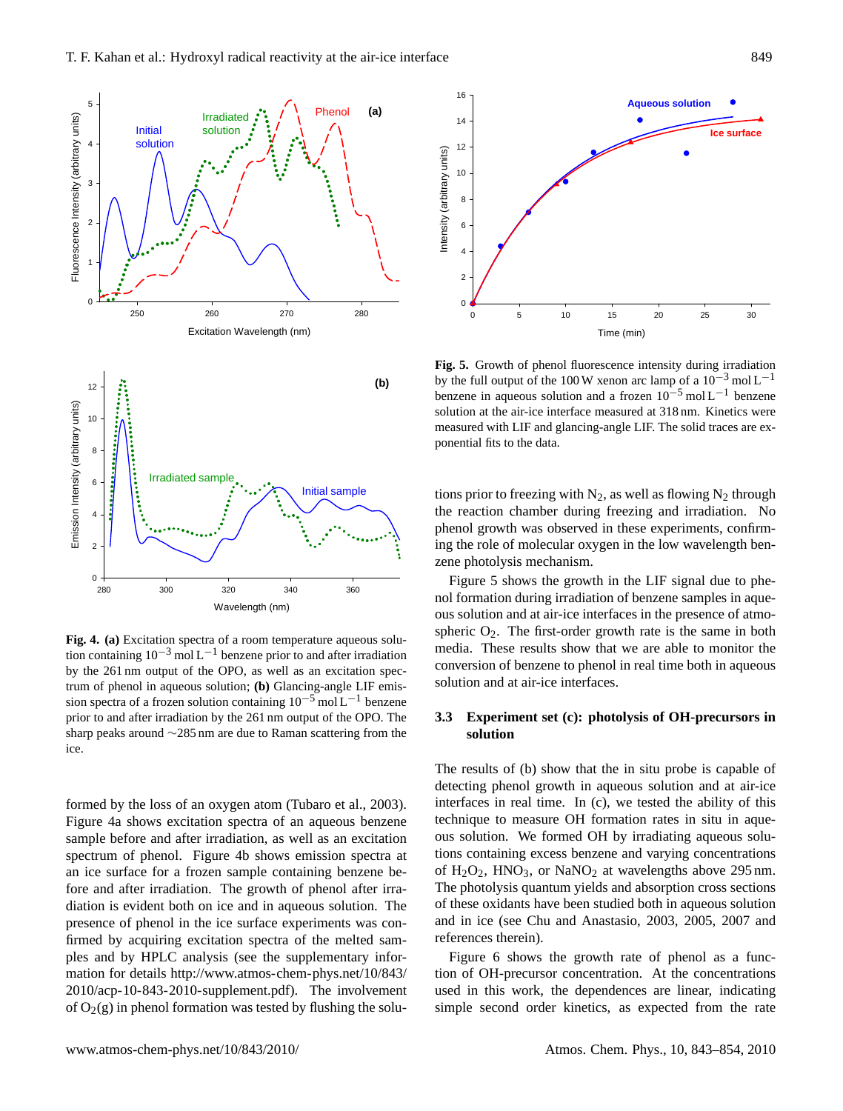

Figure 4 of a frozen solution, (b) Galicing-angle  $Lir$  emission spectra of a frozen solution containing  $10^{-5}$  mol  $L^{-1}$  benzene **Fig. 4. (a)** Excitation spectra of a room temperature aqueous solution containing  $10^{-3}$  mol L<sup>-1</sup> benzene prior to and after irradiation by the 261 nm output of the OPO, as well as an excitation spectrum of phenol in aqueous solution; **(b)** Glancing-angle LIF emisprior to and after irradiation by the 261 nm output of the OPO. The sharp peaks around ∼285 nm are due to Raman scattering from the ice.

formed by the loss of an oxygen atom (Tubaro et al., 2003). Figure 4a shows excitation spectra of an aqueous benzene sample before and after irradiation, as well as an excitation spectrum of phenol. Figure 4b shows emission spectra at an ice surface for a frozen sample containing benzene before and after irradiation. The growth of phenol after irradiation is evident both on ice and in aqueous solution. The presence of phenol in the ice surface experiments was confirmed by acquiring excitation spectra of the melted samples and by HPLC analysis (see the supplementary information for details [http://www.atmos-chem-phys.net/10/843/](http://www.atmos-chem-phys.net/10/843/2010/acp-10-843-2010-supplement.pdf) [2010/acp-10-843-2010-supplement.pdf\)](http://www.atmos-chem-phys.net/10/843/2010/acp-10-843-2010-supplement.pdf). The involvement of  $O_2(g)$  in phenol formation was tested by flushing the solu-



**Fig. 5.** Growth of phenol fluorescence intensity during irradiation by the full output of the 100 W xenon arc lamp of a  $10^{-3}$  mol L<sup>-1</sup> benzene in aqueous solution and a frozen  $10^{-5}$  mol L<sup>-1</sup> benzene solution at the air-ice interface measured at 318 nm. Kinetics were measured with LIF and glancing-angle LIF. The solid traces are exponential fits to the data.

ing the role of molecular oxygen in the low wavelength bentions prior to freezing with  $N_2$ , as well as flowing  $N_2$  through the reaction chamber during freezing and irradiation. No phenol growth was observed in these experiments, confirmzene photolysis mechanism.

Figure 5 shows the growth in the LIF signal due to phenol formation during irradiation of benzene samples in aqueous solution and at air-ice interfaces in the presence of atmospheric  $O_2$ . The first-order growth rate is the same in both media. These results show that we are able to monitor the conversion of benzene to phenol in real time both in aqueous solution and at air-ice interfaces.

# **3.3 Experiment set (c): photolysis of OH-precursors in solution**

The results of (b) show that the in situ probe is capable of detecting phenol growth in aqueous solution and at air-ice interfaces in real time. In (c), we tested the ability of this technique to measure OH formation rates in situ in aqueous solution. We formed OH by irradiating aqueous solutions containing excess benzene and varying concentrations of  $H_2O_2$ , HNO<sub>3</sub>, or NaNO<sub>2</sub> at wavelengths above 295 nm. The photolysis quantum yields and absorption cross sections of these oxidants have been studied both in aqueous solution and in ice (see Chu and Anastasio, 2003, 2005, 2007 and references therein).

Figure 6 shows the growth rate of phenol as a function of OH-precursor concentration. At the concentrations used in this work, the dependences are linear, indicating simple second order kinetics, as expected from the rate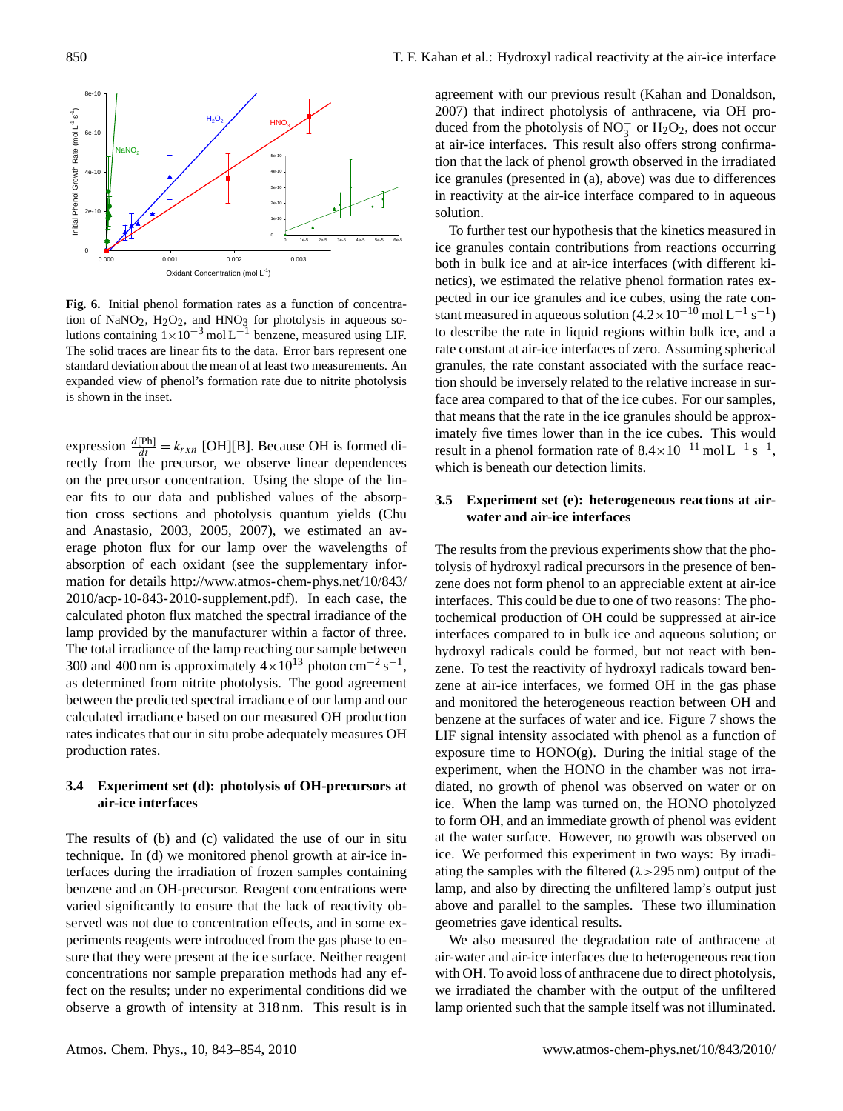

**Fig. 6.** Initial phenol formation rates as a function of concentration of NaNO<sub>2</sub>, H<sub>2</sub>O<sub>2</sub>, and HNO<sub>3</sub> for photolysis in aqueous solutions containing  $1 \times 10^{-3}$  mol L<sup>-1</sup> benzene, measured using LIF. The solid traces are linear fits to the data. Error bars represent one standard deviation about the mean of at least two measurements. An expanded view of phenol's formation rate due to nitrite photolysis is shown in the inset.

expression  $\frac{d[\text{Ph}]}{dt} = k_{rxn}$  [OH][B]. Because OH is formed directly from the precursor, we observe linear dependences on the precursor concentration. Using the slope of the linear fits to our data and published values of the absorption cross sections and photolysis quantum yields (Chu and Anastasio, 2003, 2005, 2007), we estimated an average photon flux for our lamp over the wavelengths of absorption of each oxidant (see the supplementary information for details [http://www.atmos-chem-phys.net/10/843/](http://www.atmos-chem-phys.net/10/843/2010/acp-10-843-2010-supplement.pdf) [2010/acp-10-843-2010-supplement.pdf\)](http://www.atmos-chem-phys.net/10/843/2010/acp-10-843-2010-supplement.pdf). In each case, the calculated photon flux matched the spectral irradiance of the lamp provided by the manufacturer within a factor of three. The total irradiance of the lamp reaching our sample between 300 and 400 nm is approximately  $4 \times 10^{13}$  photon cm<sup>-2</sup> s<sup>-1</sup>, as determined from nitrite photolysis. The good agreement between the predicted spectral irradiance of our lamp and our calculated irradiance based on our measured OH production rates indicates that our in situ probe adequately measures OH production rates.

# **3.4 Experiment set (d): photolysis of OH-precursors at air-ice interfaces**

The results of (b) and (c) validated the use of our in situ technique. In (d) we monitored phenol growth at air-ice interfaces during the irradiation of frozen samples containing benzene and an OH-precursor. Reagent concentrations were varied significantly to ensure that the lack of reactivity observed was not due to concentration effects, and in some experiments reagents were introduced from the gas phase to ensure that they were present at the ice surface. Neither reagent concentrations nor sample preparation methods had any effect on the results; under no experimental conditions did we observe a growth of intensity at 318 nm. This result is in

agreement with our previous result (Kahan and Donaldson, 2007) that indirect photolysis of anthracene, via OH produced from the photolysis of NO<sub>3</sub> or H<sub>2</sub>O<sub>2</sub>, does not occur at air-ice interfaces. This result also offers strong confirmation that the lack of phenol growth observed in the irradiated ice granules (presented in (a), above) was due to differences in reactivity at the air-ice interface compared to in aqueous solution.

To further test our hypothesis that the kinetics measured in ice granules contain contributions from reactions occurring both in bulk ice and at air-ice interfaces (with different kinetics), we estimated the relative phenol formation rates expected in our ice granules and ice cubes, using the rate constant measured in aqueous solution  $(4.2 \times 10^{-10} \text{ mol L}^{-1} \text{ s}^{-1})$ to describe the rate in liquid regions within bulk ice, and a rate constant at air-ice interfaces of zero. Assuming spherical granules, the rate constant associated with the surface reaction should be inversely related to the relative increase in surface area compared to that of the ice cubes. For our samples, that means that the rate in the ice granules should be approximately five times lower than in the ice cubes. This would result in a phenol formation rate of  $8.4 \times 10^{-11}$  mol L<sup>-1</sup> s<sup>-1</sup>, which is beneath our detection limits.

# **3.5 Experiment set (e): heterogeneous reactions at airwater and air-ice interfaces**

The results from the previous experiments show that the photolysis of hydroxyl radical precursors in the presence of benzene does not form phenol to an appreciable extent at air-ice interfaces. This could be due to one of two reasons: The photochemical production of OH could be suppressed at air-ice interfaces compared to in bulk ice and aqueous solution; or hydroxyl radicals could be formed, but not react with benzene. To test the reactivity of hydroxyl radicals toward benzene at air-ice interfaces, we formed OH in the gas phase and monitored the heterogeneous reaction between OH and benzene at the surfaces of water and ice. Figure 7 shows the LIF signal intensity associated with phenol as a function of exposure time to  $HONO(g)$ . During the initial stage of the experiment, when the HONO in the chamber was not irradiated, no growth of phenol was observed on water or on ice. When the lamp was turned on, the HONO photolyzed to form OH, and an immediate growth of phenol was evident at the water surface. However, no growth was observed on ice. We performed this experiment in two ways: By irradiating the samples with the filtered  $(\lambda > 295 \text{ nm})$  output of the lamp, and also by directing the unfiltered lamp's output just above and parallel to the samples. These two illumination geometries gave identical results.

We also measured the degradation rate of anthracene at air-water and air-ice interfaces due to heterogeneous reaction with OH. To avoid loss of anthracene due to direct photolysis, we irradiated the chamber with the output of the unfiltered lamp oriented such that the sample itself was not illuminated.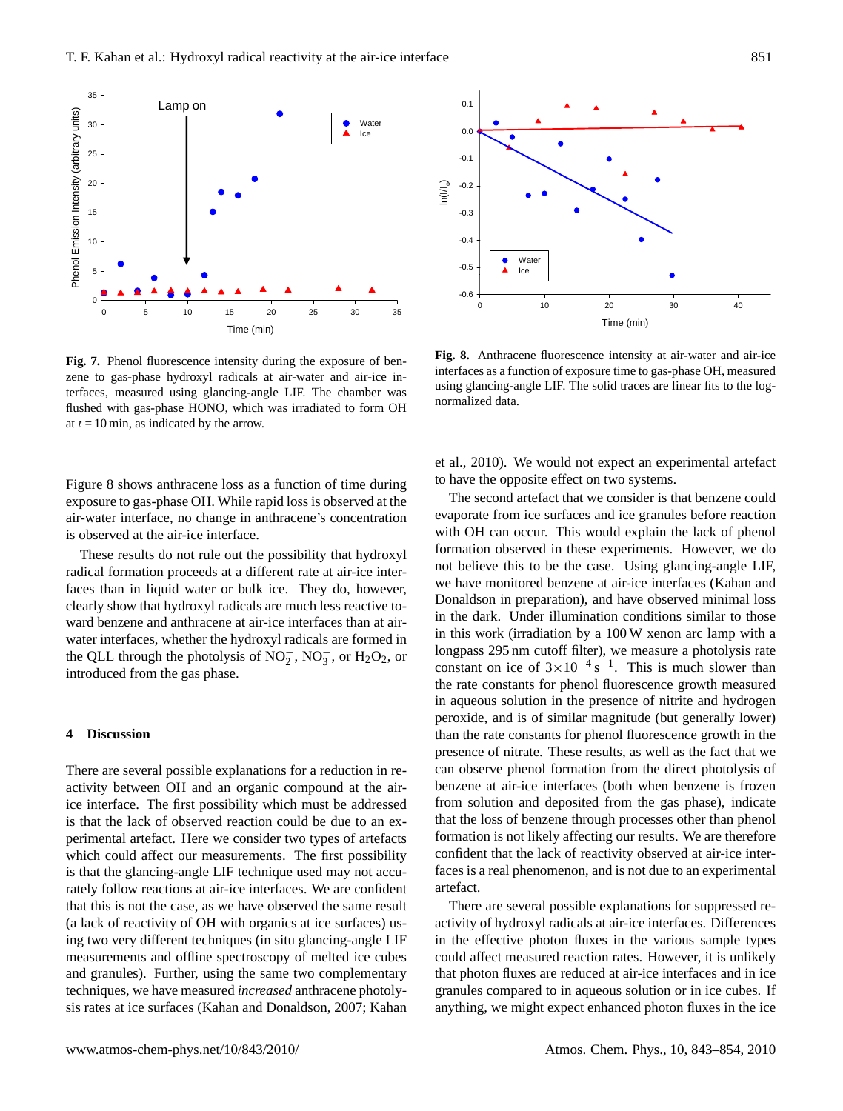

**Fig. 7.** Phenol fluorescence intensity during the exposure of benzene to gas-phase hydroxyl radicals at air-water and air-ice interfaces, measured using glancing-angle LIF. The chamber was flushed with gas-phase HONO, which was irradiated to form OH at  $t = 10$  min, as indicated by the arrow.

Figure 8 shows anthracene loss as a function of time during exposure to gas-phase OH. While rapid loss is observed at the air-water interface, no change in anthracene's concentration is observed at the air-ice interface.

These results do not rule out the possibility that hydroxyl radical formation proceeds at a different rate at air-ice interfaces than in liquid water or bulk ice. They do, however, clearly show that hydroxyl radicals are much less reactive toward benzene and anthracene at air-ice interfaces than at airwater interfaces, whether the hydroxyl radicals are formed in the QLL through the photolysis of  $\overline{NO_2}$ ,  $\overline{NO_3}$ , or  $H_2O_2$ , or introduced from the gas phase.

## **4 Discussion**

There are several possible explanations for a reduction in reactivity between OH and an organic compound at the airice interface. The first possibility which must be addressed is that the lack of observed reaction could be due to an experimental artefact. Here we consider two types of artefacts which could affect our measurements. The first possibility is that the glancing-angle LIF technique used may not accurately follow reactions at air-ice interfaces. We are confident that this is not the case, as we have observed the same result (a lack of reactivity of OH with organics at ice surfaces) using two very different techniques (in situ glancing-angle LIF measurements and offline spectroscopy of melted ice cubes and granules). Further, using the same two complementary techniques, we have measured *increased* anthracene photolysis rates at ice surfaces (Kahan and Donaldson, 2007; Kahan



**Fig. 8.** Anthracene fluorescence intensity at air-water and air-ice interfaces as a function of exposure time to gas-phase OH, measured using glancing-angle LIF. The solid traces are linear fits to the lognormalized data.

et al., 2010). We would not expect an experimental artefact to have the opposite effect on two systems.

with Ort can occur. This would explain the fack of phenometric formation observed in these experiments. However, we do The second artefact that we consider is that benzene could evaporate from ice surfaces and ice granules before reaction with OH can occur. This would explain the lack of phenol not believe this to be the case. Using glancing-angle LIF, we have monitored benzene at air-ice interfaces (Kahan and Donaldson in preparation), and have observed minimal loss in the dark. Under illumination conditions similar to those in this work (irradiation by a 100 W xenon arc lamp with a longpass 295 nm cutoff filter), we measure a photolysis rate constant on ice of  $3 \times 10^{-4}$  s<sup>-1</sup>. This is much slower than the rate constants for phenol fluorescence growth measured in aqueous solution in the presence of nitrite and hydrogen peroxide, and is of similar magnitude (but generally lower) than the rate constants for phenol fluorescence growth in the presence of nitrate. These results, as well as the fact that we can observe phenol formation from the direct photolysis of benzene at air-ice interfaces (both when benzene is frozen from solution and deposited from the gas phase), indicate that the loss of benzene through processes other than phenol formation is not likely affecting our results. We are therefore confident that the lack of reactivity observed at air-ice interfaces is a real phenomenon, and is not due to an experimental artefact.

There are several possible explanations for suppressed reactivity of hydroxyl radicals at air-ice interfaces. Differences in the effective photon fluxes in the various sample types could affect measured reaction rates. However, it is unlikely that photon fluxes are reduced at air-ice interfaces and in ice granules compared to in aqueous solution or in ice cubes. If anything, we might expect enhanced photon fluxes in the ice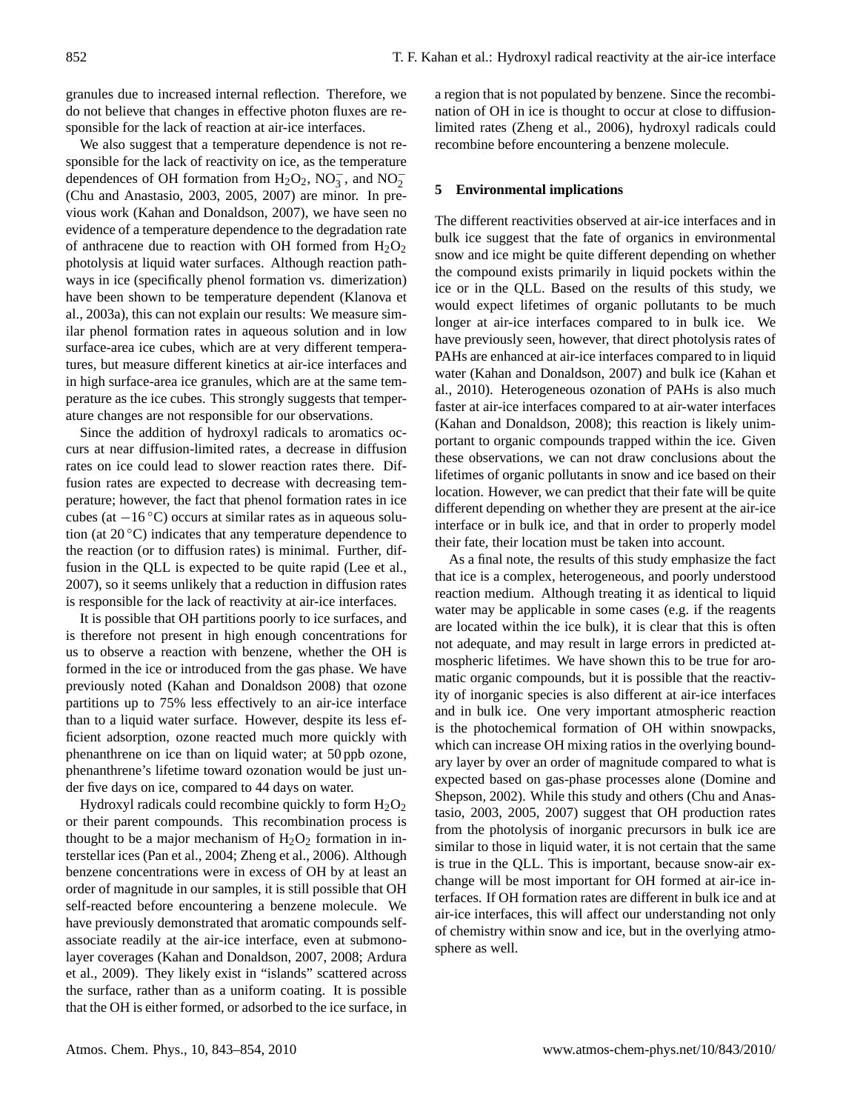granules due to increased internal reflection. Therefore, we do not believe that changes in effective photon fluxes are responsible for the lack of reaction at air-ice interfaces.

We also suggest that a temperature dependence is not responsible for the lack of reactivity on ice, as the temperature dependences of OH formation from  $H_2O_2$ , NO<sub>3</sub>, and NO<sub>2</sub> (Chu and Anastasio, 2003, 2005, 2007) are minor. In previous work (Kahan and Donaldson, 2007), we have seen no evidence of a temperature dependence to the degradation rate of anthracene due to reaction with OH formed from  $H_2O_2$ photolysis at liquid water surfaces. Although reaction pathways in ice (specifically phenol formation vs. dimerization) have been shown to be temperature dependent (Klanova et al., 2003a), this can not explain our results: We measure similar phenol formation rates in aqueous solution and in low surface-area ice cubes, which are at very different temperatures, but measure different kinetics at air-ice interfaces and in high surface-area ice granules, which are at the same temperature as the ice cubes. This strongly suggests that temperature changes are not responsible for our observations.

Since the addition of hydroxyl radicals to aromatics occurs at near diffusion-limited rates, a decrease in diffusion rates on ice could lead to slower reaction rates there. Diffusion rates are expected to decrease with decreasing temperature; however, the fact that phenol formation rates in ice cubes (at  $-16\degree C$ ) occurs at similar rates as in aqueous solution (at 20 ◦C) indicates that any temperature dependence to the reaction (or to diffusion rates) is minimal. Further, diffusion in the QLL is expected to be quite rapid (Lee et al., 2007), so it seems unlikely that a reduction in diffusion rates is responsible for the lack of reactivity at air-ice interfaces.

It is possible that OH partitions poorly to ice surfaces, and is therefore not present in high enough concentrations for us to observe a reaction with benzene, whether the OH is formed in the ice or introduced from the gas phase. We have previously noted (Kahan and Donaldson 2008) that ozone partitions up to 75% less effectively to an air-ice interface than to a liquid water surface. However, despite its less efficient adsorption, ozone reacted much more quickly with phenanthrene on ice than on liquid water; at 50 ppb ozone, phenanthrene's lifetime toward ozonation would be just under five days on ice, compared to 44 days on water.

Hydroxyl radicals could recombine quickly to form  $H_2O_2$ or their parent compounds. This recombination process is thought to be a major mechanism of  $H_2O_2$  formation in interstellar ices (Pan et al., 2004; Zheng et al., 2006). Although benzene concentrations were in excess of OH by at least an order of magnitude in our samples, it is still possible that OH self-reacted before encountering a benzene molecule. We have previously demonstrated that aromatic compounds selfassociate readily at the air-ice interface, even at submonolayer coverages (Kahan and Donaldson, 2007, 2008; Ardura et al., 2009). They likely exist in "islands" scattered across the surface, rather than as a uniform coating. It is possible that the OH is either formed, or adsorbed to the ice surface, in a region that is not populated by benzene. Since the recombination of OH in ice is thought to occur at close to diffusionlimited rates (Zheng et al., 2006), hydroxyl radicals could recombine before encountering a benzene molecule.

### **5 Environmental implications**

The different reactivities observed at air-ice interfaces and in bulk ice suggest that the fate of organics in environmental snow and ice might be quite different depending on whether the compound exists primarily in liquid pockets within the ice or in the QLL. Based on the results of this study, we would expect lifetimes of organic pollutants to be much longer at air-ice interfaces compared to in bulk ice. We have previously seen, however, that direct photolysis rates of PAHs are enhanced at air-ice interfaces compared to in liquid water (Kahan and Donaldson, 2007) and bulk ice (Kahan et al., 2010). Heterogeneous ozonation of PAHs is also much faster at air-ice interfaces compared to at air-water interfaces (Kahan and Donaldson, 2008); this reaction is likely unimportant to organic compounds trapped within the ice. Given these observations, we can not draw conclusions about the lifetimes of organic pollutants in snow and ice based on their location. However, we can predict that their fate will be quite different depending on whether they are present at the air-ice interface or in bulk ice, and that in order to properly model their fate, their location must be taken into account.

As a final note, the results of this study emphasize the fact that ice is a complex, heterogeneous, and poorly understood reaction medium. Although treating it as identical to liquid water may be applicable in some cases (e.g. if the reagents are located within the ice bulk), it is clear that this is often not adequate, and may result in large errors in predicted atmospheric lifetimes. We have shown this to be true for aromatic organic compounds, but it is possible that the reactivity of inorganic species is also different at air-ice interfaces and in bulk ice. One very important atmospheric reaction is the photochemical formation of OH within snowpacks, which can increase OH mixing ratios in the overlying boundary layer by over an order of magnitude compared to what is expected based on gas-phase processes alone (Domine and Shepson, 2002). While this study and others (Chu and Anastasio, 2003, 2005, 2007) suggest that OH production rates from the photolysis of inorganic precursors in bulk ice are similar to those in liquid water, it is not certain that the same is true in the QLL. This is important, because snow-air exchange will be most important for OH formed at air-ice interfaces. If OH formation rates are different in bulk ice and at air-ice interfaces, this will affect our understanding not only of chemistry within snow and ice, but in the overlying atmosphere as well.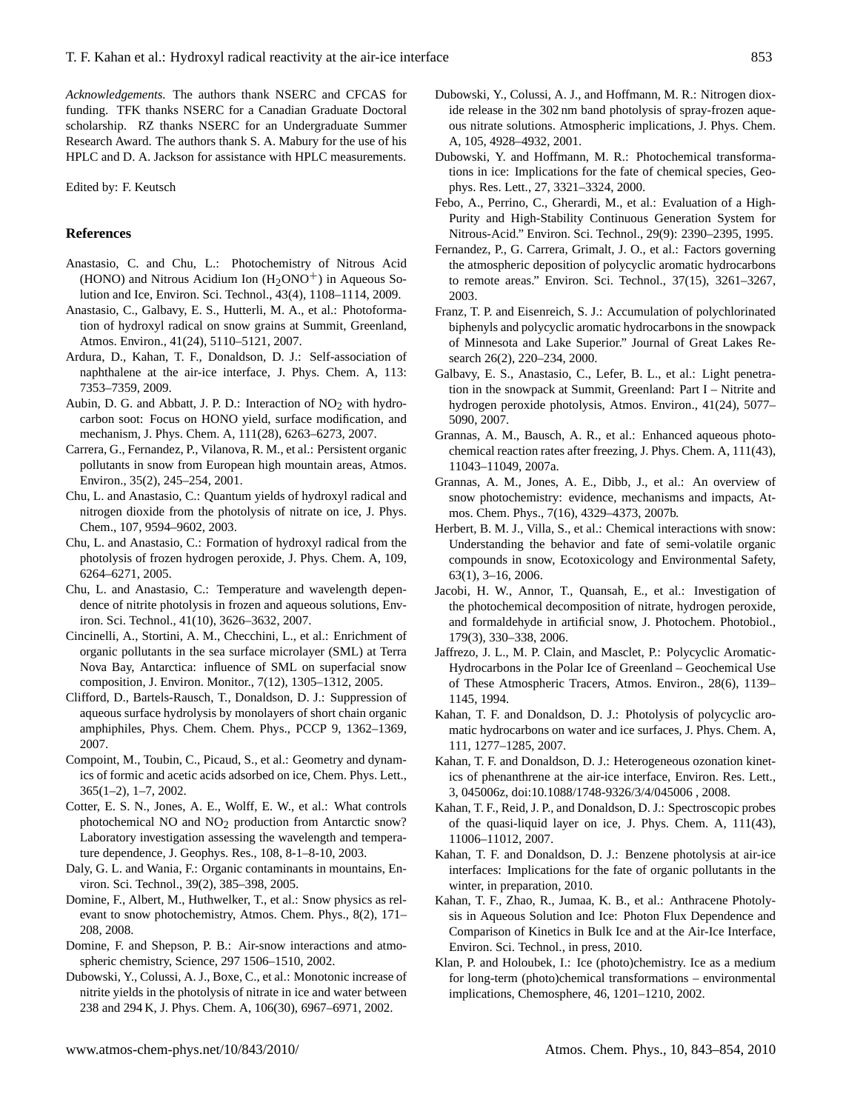*Acknowledgements.* The authors thank NSERC and CFCAS for funding. TFK thanks NSERC for a Canadian Graduate Doctoral scholarship. RZ thanks NSERC for an Undergraduate Summer Research Award. The authors thank S. A. Mabury for the use of his HPLC and D. A. Jackson for assistance with HPLC measurements.

#### Edited by: F. Keutsch

## **References**

- Anastasio, C. and Chu, L.: Photochemistry of Nitrous Acid (HONO) and Nitrous Acidium Ion  $(H_2ONO^+)$  in Aqueous Solution and Ice, Environ. Sci. Technol., 43(4), 1108–1114, 2009.
- Anastasio, C., Galbavy, E. S., Hutterli, M. A., et al.: Photoformation of hydroxyl radical on snow grains at Summit, Greenland, Atmos. Environ., 41(24), 5110–5121, 2007.
- Ardura, D., Kahan, T. F., Donaldson, D. J.: Self-association of naphthalene at the air-ice interface, J. Phys. Chem. A, 113: 7353–7359, 2009.
- Aubin, D. G. and Abbatt, J. P. D.: Interaction of  $NO<sub>2</sub>$  with hydrocarbon soot: Focus on HONO yield, surface modification, and mechanism, J. Phys. Chem. A, 111(28), 6263–6273, 2007.
- Carrera, G., Fernandez, P., Vilanova, R. M., et al.: Persistent organic pollutants in snow from European high mountain areas, Atmos. Environ., 35(2), 245–254, 2001.
- Chu, L. and Anastasio, C.: Quantum yields of hydroxyl radical and nitrogen dioxide from the photolysis of nitrate on ice, J. Phys. Chem., 107, 9594–9602, 2003.
- Chu, L. and Anastasio, C.: Formation of hydroxyl radical from the photolysis of frozen hydrogen peroxide, J. Phys. Chem. A, 109, 6264–6271, 2005.
- Chu, L. and Anastasio, C.: Temperature and wavelength dependence of nitrite photolysis in frozen and aqueous solutions, Environ. Sci. Technol., 41(10), 3626–3632, 2007.
- Cincinelli, A., Stortini, A. M., Checchini, L., et al.: Enrichment of organic pollutants in the sea surface microlayer (SML) at Terra Nova Bay, Antarctica: influence of SML on superfacial snow composition, J. Environ. Monitor., 7(12), 1305–1312, 2005.
- Clifford, D., Bartels-Rausch, T., Donaldson, D. J.: Suppression of aqueous surface hydrolysis by monolayers of short chain organic amphiphiles, Phys. Chem. Chem. Phys., PCCP 9, 1362–1369, 2007.
- Compoint, M., Toubin, C., Picaud, S., et al.: Geometry and dynamics of formic and acetic acids adsorbed on ice, Chem. Phys. Lett., 365(1–2), 1–7, 2002.
- Cotter, E. S. N., Jones, A. E., Wolff, E. W., et al.: What controls photochemical NO and NO<sub>2</sub> production from Antarctic snow? Laboratory investigation assessing the wavelength and temperature dependence, J. Geophys. Res., 108, 8-1–8-10, 2003.
- Daly, G. L. and Wania, F.: Organic contaminants in mountains, Environ. Sci. Technol., 39(2), 385–398, 2005.
- Domine, F., Albert, M., Huthwelker, T., et al.: Snow physics as relevant to snow photochemistry, Atmos. Chem. Phys., 8(2), 171– 208, 2008.
- Domine, F. and Shepson, P. B.: Air-snow interactions and atmospheric chemistry, Science, 297 1506–1510, 2002.
- Dubowski, Y., Colussi, A. J., Boxe, C., et al.: Monotonic increase of nitrite yields in the photolysis of nitrate in ice and water between 238 and 294 K, J. Phys. Chem. A, 106(30), 6967–6971, 2002.
- Dubowski, Y., Colussi, A. J., and Hoffmann, M. R.: Nitrogen dioxide release in the 302 nm band photolysis of spray-frozen aqueous nitrate solutions. Atmospheric implications, J. Phys. Chem. A, 105, 4928–4932, 2001.
- Dubowski, Y. and Hoffmann, M. R.: Photochemical transformations in ice: Implications for the fate of chemical species, Geophys. Res. Lett., 27, 3321–3324, 2000.
- Febo, A., Perrino, C., Gherardi, M., et al.: Evaluation of a High-Purity and High-Stability Continuous Generation System for Nitrous-Acid." Environ. Sci. Technol., 29(9): 2390–2395, 1995.
- Fernandez, P., G. Carrera, Grimalt, J. O., et al.: Factors governing the atmospheric deposition of polycyclic aromatic hydrocarbons to remote areas." Environ. Sci. Technol., 37(15), 3261–3267, 2003.
- Franz, T. P. and Eisenreich, S. J.: Accumulation of polychlorinated biphenyls and polycyclic aromatic hydrocarbons in the snowpack of Minnesota and Lake Superior." Journal of Great Lakes Research 26(2), 220–234, 2000.
- Galbavy, E. S., Anastasio, C., Lefer, B. L., et al.: Light penetration in the snowpack at Summit, Greenland: Part I – Nitrite and hydrogen peroxide photolysis, Atmos. Environ., 41(24), 5077– 5090, 2007.
- Grannas, A. M., Bausch, A. R., et al.: Enhanced aqueous photochemical reaction rates after freezing, J. Phys. Chem. A, 111(43), 11043–11049, 2007a.
- Grannas, A. M., Jones, A. E., Dibb, J., et al.: An overview of snow photochemistry: evidence, mechanisms and impacts, Atmos. Chem. Phys., 7(16), 4329–4373, 2007b.
- Herbert, B. M. J., Villa, S., et al.: Chemical interactions with snow: Understanding the behavior and fate of semi-volatile organic compounds in snow, Ecotoxicology and Environmental Safety, 63(1), 3–16, 2006.
- Jacobi, H. W., Annor, T., Quansah, E., et al.: Investigation of the photochemical decomposition of nitrate, hydrogen peroxide, and formaldehyde in artificial snow, J. Photochem. Photobiol., 179(3), 330–338, 2006.
- Jaffrezo, J. L., M. P. Clain, and Masclet, P.: Polycyclic Aromatic-Hydrocarbons in the Polar Ice of Greenland – Geochemical Use of These Atmospheric Tracers, Atmos. Environ., 28(6), 1139– 1145, 1994.
- Kahan, T. F. and Donaldson, D. J.: Photolysis of polycyclic aromatic hydrocarbons on water and ice surfaces, J. Phys. Chem. A, 111, 1277–1285, 2007.
- Kahan, T. F. and Donaldson, D. J.: Heterogeneous ozonation kinetics of phenanthrene at the air-ice interface, Environ. Res. Lett., 3, 045006z, doi:10.1088/1748-9326/3/4/045006 , 2008.
- Kahan, T. F., Reid, J. P., and Donaldson, D. J.: Spectroscopic probes of the quasi-liquid layer on ice, J. Phys. Chem. A, 111(43), 11006–11012, 2007.
- Kahan, T. F. and Donaldson, D. J.: Benzene photolysis at air-ice interfaces: Implications for the fate of organic pollutants in the winter, in preparation, 2010.
- Kahan, T. F., Zhao, R., Jumaa, K. B., et al.: Anthracene Photolysis in Aqueous Solution and Ice: Photon Flux Dependence and Comparison of Kinetics in Bulk Ice and at the Air-Ice Interface, Environ. Sci. Technol., in press, 2010.
- Klan, P. and Holoubek, I.: Ice (photo)chemistry. Ice as a medium for long-term (photo)chemical transformations – environmental implications, Chemosphere, 46, 1201–1210, 2002.